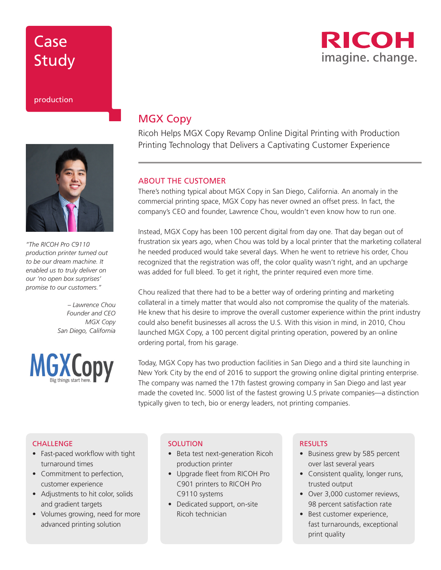# Case Study

### production



*"The RICOH Pro C9110 production printer turned out to be our dream machine. It enabled us to truly deliver on our 'no open box surprises' promise to our customers."* 

> *– Lawrence Chou Founder and CEO MGX Copy San Diego, California*



### MGX Copy

Ricoh Helps MGX Copy Revamp Online Digital Printing with Production Printing Technology that Delivers a Captivating Customer Experience

#### ABOUT THE CUSTOMER

There's nothing typical about MGX Copy in San Diego, California. An anomaly in the commercial printing space, MGX Copy has never owned an offset press. In fact, the company's CEO and founder, Lawrence Chou, wouldn't even know how to run one.

Instead, MGX Copy has been 100 percent digital from day one. That day began out of frustration six years ago, when Chou was told by a local printer that the marketing collateral he needed produced would take several days. When he went to retrieve his order, Chou recognized that the registration was off, the color quality wasn't right, and an upcharge was added for full bleed. To get it right, the printer required even more time.

Chou realized that there had to be a better way of ordering printing and marketing collateral in a timely matter that would also not compromise the quality of the materials. He knew that his desire to improve the overall customer experience within the print industry could also benefit businesses all across the U.S. With this vision in mind, in 2010, Chou launched MGX Copy, a 100 percent digital printing operation, powered by an online ordering portal, from his garage.

Today, MGX Copy has two production facilities in San Diego and a third site launching in New York City by the end of 2016 to support the growing online digital printing enterprise. The company was named the 17th fastest growing company in San Diego and last year made the coveted Inc. 5000 list of the fastest growing U.S private companies—a distinction typically given to tech, bio or energy leaders, not printing companies.

### **CHALLENGE**

- Fast-paced workflow with tight turnaround times
- Commitment to perfection, customer experience
- Adjustments to hit color, solids and gradient targets
- Volumes growing, need for more advanced printing solution

#### **SOLUTION**

- Beta test next-generation Ricoh production printer
- Upgrade fleet from RICOH Pro C901 printers to RICOH Pro C9110 systems
- Dedicated support, on-site Ricoh technician

### **RESULTS**

- Business grew by 585 percent over last several years
- Consistent quality, longer runs, trusted output
- Over 3,000 customer reviews, 98 percent satisfaction rate
- Best customer experience, fast turnarounds, exceptional print quality

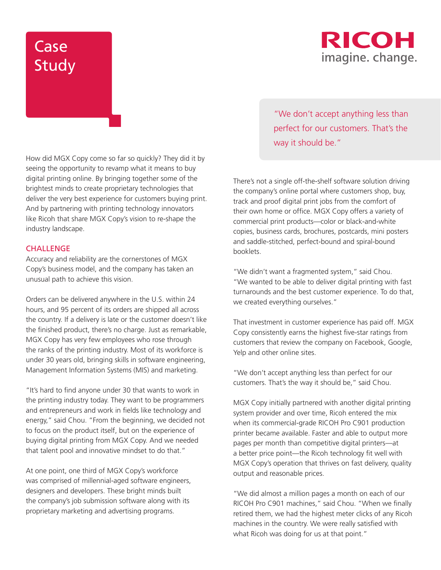# Case Study



How did MGX Copy come so far so quickly? They did it by seeing the opportunity to revamp what it means to buy digital printing online. By bringing together some of the brightest minds to create proprietary technologies that deliver the very best experience for customers buying print. And by partnering with printing technology innovators like Ricoh that share MGX Copy's vision to re-shape the industry landscape.

### **CHALLENGE**

Accuracy and reliability are the cornerstones of MGX Copy's business model, and the company has taken an unusual path to achieve this vision.

Orders can be delivered anywhere in the U.S. within 24 hours, and 95 percent of its orders are shipped all across the country. If a delivery is late or the customer doesn't like the finished product, there's no charge. Just as remarkable, MGX Copy has very few employees who rose through the ranks of the printing industry. Most of its workforce is under 30 years old, bringing skills in software engineering, Management Information Systems (MIS) and marketing.

"It's hard to find anyone under 30 that wants to work in the printing industry today. They want to be programmers and entrepreneurs and work in fields like technology and energy," said Chou. "From the beginning, we decided not to focus on the product itself, but on the experience of buying digital printing from MGX Copy. And we needed that talent pool and innovative mindset to do that."

At one point, one third of MGX Copy's workforce was comprised of millennial-aged software engineers, designers and developers. These bright minds built the company's job submission software along with its proprietary marketing and advertising programs.

"We don't accept anything less than perfect for our customers. That's the way it should be."

There's not a single off-the-shelf software solution driving the company's online portal where customers shop, buy, track and proof digital print jobs from the comfort of their own home or office. MGX Copy offers a variety of commercial print products—color or black-and-white copies, business cards, brochures, postcards, mini posters and saddle-stitched, perfect-bound and spiral-bound booklets.

"We didn't want a fragmented system," said Chou. "We wanted to be able to deliver digital printing with fast turnarounds and the best customer experience. To do that, we created everything ourselves."

That investment in customer experience has paid off. MGX Copy consistently earns the highest five-star ratings from customers that review the company on Facebook, Google, Yelp and other online sites.

"We don't accept anything less than perfect for our customers. That's the way it should be," said Chou.

MGX Copy initially partnered with another digital printing system provider and over time, Ricoh entered the mix when its commercial-grade RICOH Pro C901 production printer became available. Faster and able to output more pages per month than competitive digital printers—at a better price point—the Ricoh technology fit well with MGX Copy's operation that thrives on fast delivery, quality output and reasonable prices.

"We did almost a million pages a month on each of our RICOH Pro C901 machines," said Chou. "When we finally retired them, we had the highest meter clicks of any Ricoh machines in the country. We were really satisfied with what Ricoh was doing for us at that point."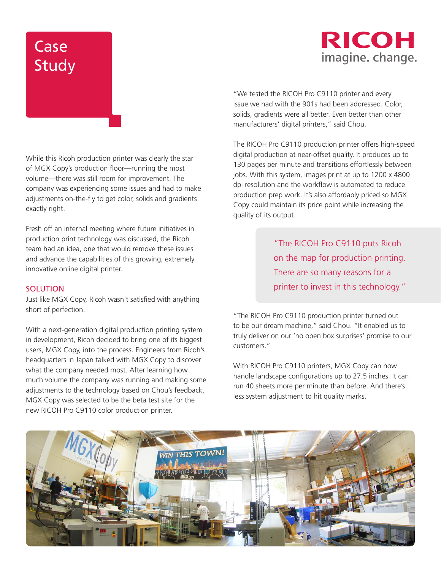# Case Study

## **RICOH** imagine. change.

While this Ricoh production printer was clearly the star of MGX Copy's production floor—running the most volume—there was still room for improvement. The company was experiencing some issues and had to make adjustments on-the-fly to get color, solids and gradients exactly right.

Fresh off an internal meeting where future initiatives in production print technology was discussed, the Ricoh team had an idea, one that would remove these issues and advance the capabilities of this growing, extremely innovative online digital printer.

### **SOLUTION**

Just like MGX Copy, Ricoh wasn't satisfied with anything short of perfection.

With a next-generation digital production printing system in development, Ricoh decided to bring one of its biggest users, MGX Copy, into the process. Engineers from Ricoh's headquarters in Japan talked with MGX Copy to discover what the company needed most. After learning how much volume the company was running and making some adjustments to the technology based on Chou's feedback, MGX Copy was selected to be the beta test site for the new RICOH Pro C9110 color production printer.

"We tested the RICOH Pro C9110 printer and every issue we had with the 901s had been addressed. Color, solids, gradients were all better. Even better than other manufacturers' digital printers," said Chou.

The RICOH Pro C9110 production printer offers high-speed digital production at near-offset quality. It produces up to 130 pages per minute and transitions effortlessly between jobs. With this system, images print at up to 1200 x 4800 dpi resolution and the workflow is automated to reduce production prep work. It's also affordably priced so MGX Copy could maintain its price point while increasing the quality of its output.

> "The RICOH Pro C9110 puts Ricoh on the map for production printing. There are so many reasons for a printer to invest in this technology."

"The RICOH Pro C9110 production printer turned out to be our dream machine," said Chou. "It enabled us to truly deliver on our 'no open box surprises' promise to our customers."

With RICOH Pro C9110 printers, MGX Copy can now handle landscape configurations up to 27.5 inches. It can run 40 sheets more per minute than before. And there's less system adjustment to hit quality marks.